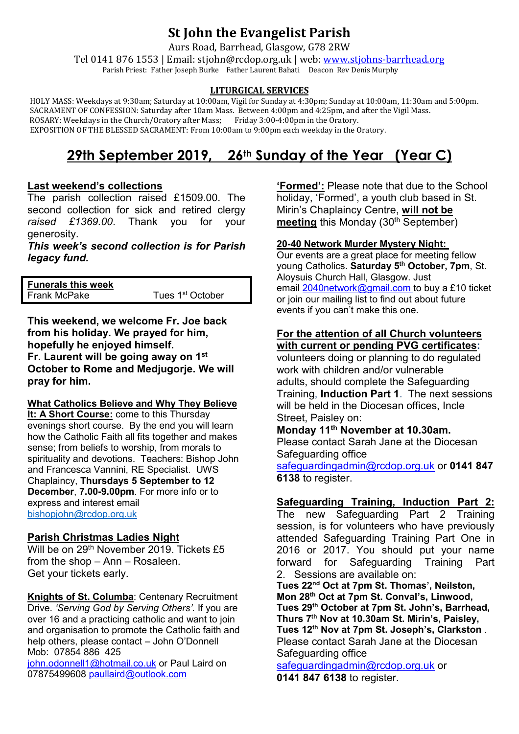## **St John the Evangelist Parish**

Aurs Road, Barrhead, Glasgow, G78 2RW

Tel 0141 876 1553 | Email: stjohn@rcdop.org.uk | web: [www.stjohns-barrhead.org](http://www.stjohns-barrhead.org/) Parish Priest: Father Joseph Burke Father Laurent Bahati Deacon Rev Denis Murphy

#### **LITURGICAL SERVICES**

 HOLY MASS: Weekdays at 9:30am; Saturday at 10:00am, Vigil for Sunday at 4:30pm; Sunday at 10:00am, 11:30am and 5:00pm. SACRAMENT OF CONFESSION: Saturday after 10am Mass. Between 4:00pm and 4:25pm, and after the Vigil Mass.<br>ROSARY: Weekdays in the Church/Oratory after Mass; Friday 3:00-4:00pm in the Oratory. ROSARY: Weekdays in the Church/Oratory after Mass; Friday 3:00-4:00pm in the Oratory. EXPOSITION OF THE BLESSED SACRAMENT: From 10:00am to 9:00pm each weekday in the Oratory.

# **29th September 2019, 26th Sunday of the Year (Year C)**

## **Last weekend's collections**

The parish collection raised £1509.00. The second collection for sick and retired clergy *raised £1369.00*. Thank you for your generosity.

*This week's second collection is for Parish legacy fund.*

**Funerals this week** 

Tues 1<sup>st</sup> October

**This weekend, we welcome Fr. Joe back from his holiday. We prayed for him, hopefully he enjoyed himself. Fr. Laurent will be going away on 1st October to Rome and Medjugorje. We will pray for him.**

#### **What Catholics Believe and Why They Believe**

**It: A Short Course:** come to this Thursday evenings short course. By the end you will learn how the Catholic Faith all fits together and makes sense; from beliefs to worship, from morals to spirituality and devotions. Teachers: Bishop John and Francesca Vannini, RE Specialist. UWS Chaplaincy, **Thursdays 5 September to 12 December**, **7.00-9.00pm**. For more info or to express and interest email [bishopjohn@rcdop.org.uk](mailto:bishopjohn@rcdop.org.uk)

## **Parish Christmas Ladies Night**

Will be on 29<sup>th</sup> November 2019. Tickets £5 from the shop – Ann – Rosaleen. Get your tickets early.

**Knights of St. Columba**: Centenary Recruitment Drive. *'Serving God by Serving Others'.* If you are over 16 and a practicing catholic and want to join and organisation to promote the Catholic faith and help others, please contact – John O'Donnell Mob: 07854 886 425

[john.odonnell1@hotmail.co.uk](mailto:john.odonnell1@hotmail.co.uk) or Paul Laird on 07875499608 [paullaird@outlook.com](mailto:paullaird@outlook.com)

**'Formed':** Please note that due to the School holiday, 'Formed', a youth club based in St. Mirin's Chaplaincy Centre, **will not be meeting** this Monday (30<sup>th</sup> September)

#### **20-40 Network Murder Mystery Night:**

Our events are a great place for meeting fellow young Catholics. **Saturday 5th October, 7pm**, St. Aloysuis Church Hall, Glasgow. Just email [2040network@gmail.com](mailto:2040network@gmail.com) to buy a £10 ticket or join our mailing list to find out about future events if you can't make this one.

#### **For the attention of all Church volunteers with current or pending PVG certificates:**

volunteers doing or planning to do regulated work with children and/or vulnerable adults, should complete the Safeguarding Training, **Induction Part 1**. The next sessions will be held in the Diocesan offices, Incle Street, Paisley on:

## **Monday 11th November at 10.30am.**

Please contact Sarah Jane at the Diocesan Safeguarding office

[safeguardingadmin@rcdop.org.uk](mailto:safeguardingadmin@rcdop.org.uk) or **0141 847 6138** to register.

## **Safeguarding Training, Induction Part 2:**

The new Safeguarding Part 2 Training session, is for volunteers who have previously attended Safeguarding Training Part One in 2016 or 2017. You should put your name forward for Safeguarding Training Part 2. Sessions are available on:

**Tues 22nd Oct at 7pm St. Thomas', Neilston, Mon 28th Oct at 7pm St. Conval's, Linwood, Tues 29th October at 7pm St. John's, Barrhead, Thurs 7th Nov at 10.30am St. Mirin's, Paisley, Tues 12th Nov at 7pm St. Joseph's, Clarkston** . Please contact Sarah Jane at the Diocesan Safeguarding office

[safeguardingadmin@rcdop.org.uk](mailto:safeguardingadmin@rcdop.org.uk) or **0141 847 6138** to register.